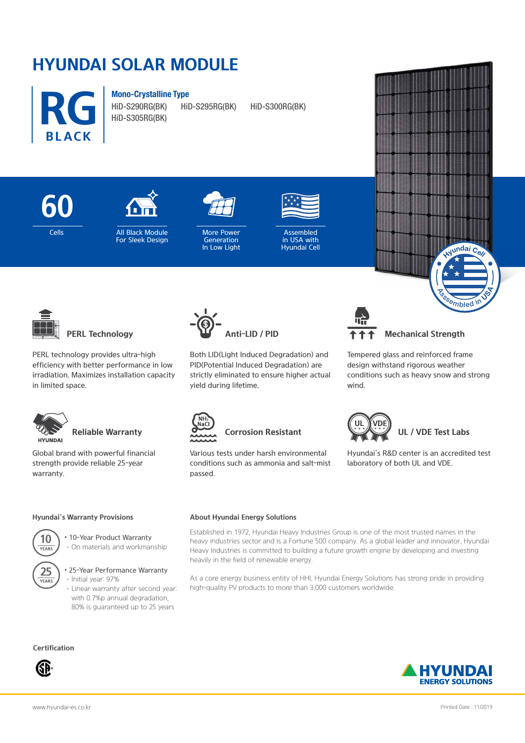# **HYUNDAI SOLAR MODULE**



**Mono-Crystalline Type**









in USA with Hyundai Cell



**PERL Technology**

PERL technology provides ultra-high efficiency with better performance in low irradiation. Maximizes installation capacity in limited space.



# **Reliable Warranty**

Global brand with powerful financial strength provide reliable 25-year warranty.

## **Hyundai's Warranty Provisions**



YEARS

• 10-Year Product Warranty

·On materials and workmanship

25 > 25-Year Performance Warranty ·Initial year: 97%

> ·Linear warranty after second year: with 0.7%p annual degradation, 80% is guaranteed up to 25 years

## **Certification**





Both LID(Light Induced Degradation) and PID(Potential Induced Degradation) are strictly eliminated to ensure higher actual yield during lifetime.



**Mechanical Strength** 

 $\delta$ <sup>S</sup><sup>Q</sup>*Mbled* 

 $L$ **undai**  $C$ **e** 

Tempered glass and reinforced frame design withstand rigorous weather conditions such as heavy snow and strong wind.



Various tests under harsh environmental conditions such as ammonia and salt-mist passed.



**About Hyundai Energy Solutions**



Hyundai's R&D center is an accredited test laboratory of both UL and VDE.

#### Established in 1972, Hyundai Heavy Industries Group is one of the most trusted names in the heavy industries sector and is a Fortune 500 company. As a global leader and innovator, Hyundai Heavy Industries is committed to building a future growth engine by developing and investing heavily in the field of renewable energy.

As a core energy business entity of HHI, Hyundai Energy Solutions has strong pride in providing high-quality PV products to more than 3,000 customers worldwide.